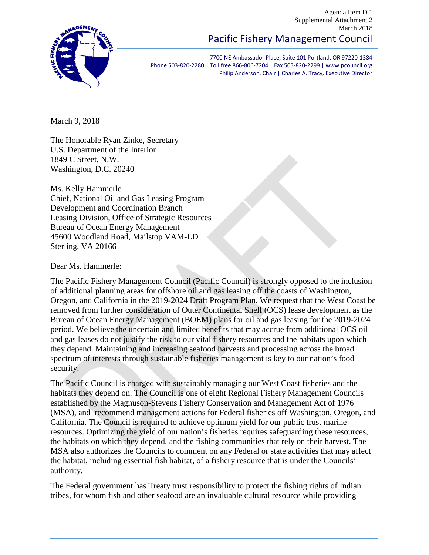## Agenda Item D.1 Supplemental Attachment 2 March 2018



Pacific Fishery Management Council

7700 NE Ambassador Place, Suite 101 Portland, OR 97220-1384 Phone 503-820-2280 | Toll free 866-806-7204 | Fax 503-820-2299 | www.pcouncil.org Philip Anderson, Chair | Charles A. Tracy, Executive Director

March 9, 2018

The Honorable Ryan Zinke, Secretary U.S. Department of the Interior 1849 C Street, N.W. Washington, D.C. 20240

Ms. Kelly Hammerle Chief, National Oil and Gas Leasing Program Development and Coordination Branch Leasing Division, Office of Strategic Resources Bureau of Ocean Energy Management 45600 Woodland Road, Mailstop VAM-LD Sterling, VA 20166

Dear Ms. Hammerle:

The Pacific Fishery Management Council (Pacific Council) is strongly opposed to the inclusion of additional planning areas for offshore oil and gas leasing off the coasts of Washington, Oregon, and California in the 2019-2024 Draft Program Plan. We request that the West Coast be removed from further consideration of Outer Continental Shelf (OCS) lease development as the Bureau of Ocean Energy Management (BOEM) plans for oil and gas leasing for the 2019-2024 period. We believe the uncertain and limited benefits that may accrue from additional OCS oil and gas leases do not justify the risk to our vital fishery resources and the habitats upon which they depend. Maintaining and increasing seafood harvests and processing across the broad spectrum of interests through sustainable fisheries management is key to our nation's food security.

The Pacific Council is charged with sustainably managing our West Coast fisheries and the habitats they depend on. The Council is one of eight Regional Fishery Management Councils established by the Magnuson-Stevens Fishery Conservation and Management Act of 1976 (MSA), and recommend management actions for Federal fisheries off Washington, Oregon, and California. The Council is required to achieve optimum yield for our public trust marine resources. Optimizing the yield of our nation's fisheries requires safeguarding these resources, the habitats on which they depend, and the fishing communities that rely on their harvest. The MSA also authorizes the Councils to comment on any Federal or state activities that may affect the habitat, including essential fish habitat, of a fishery resource that is under the Councils' authority.

The Federal government has Treaty trust responsibility to protect the fishing rights of Indian tribes, for whom fish and other seafood are an invaluable cultural resource while providing